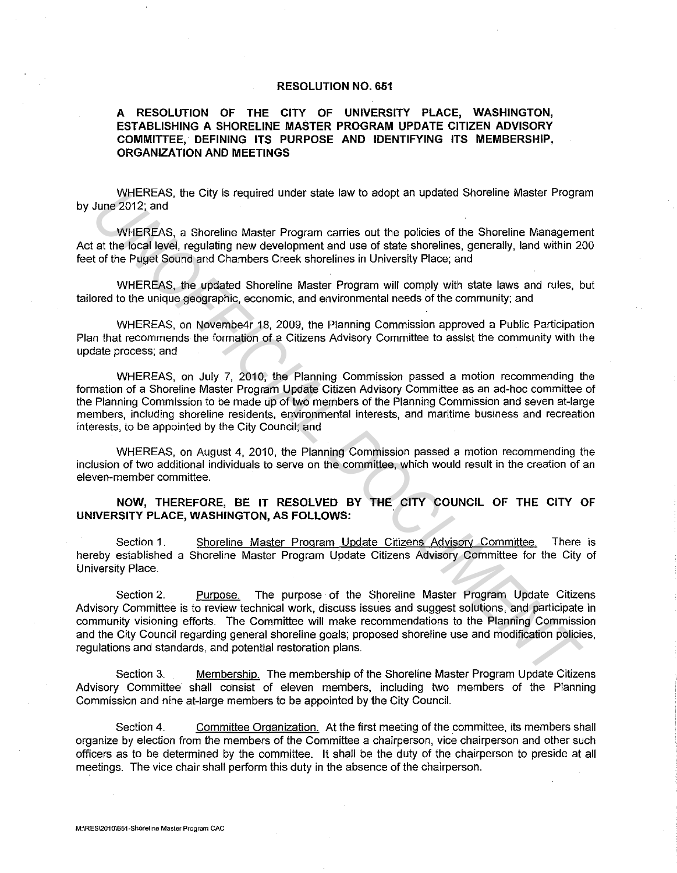## **RESOLUTION NO. 651**

## **A RESOLUTION OF THE CITY OF UNIVERSITY PLACE, WASHINGTON, ESTABLISHING A SHORELINE MASTER PROGRAM UPDATE CITIZEN ADVISORY COMMITTEE, DEFINING ITS PURPOSE AND IDENTIFYING ITS MEMBERSHIP, ORGANIZATION AND MEETINGS**

WHEREAS, the City is required under state law to adopt an updated Shoreline Master Program by June 2012; and

WHEREAS, a Shoreline Master Program carries out the policies of the Shoreline Management Act at the local level, regulating new development and use of state shorelines, generally, land within 200 feet of the Puget Sound and Chambers Creek shorelines in University Place; and

WHEREAS, the updated Shoreline Master Program will comply with state laws and rules, but tailored to the unique geographic, economic, and environmental needs of the community; and

WHEREAS, on Novembe4r 18, 2009, the Planning Commission approved a Public Participation Plan that recommends the formation of a Citizens Advisory Committee to assist the community with the update process; and

WHEREAS, on July 7, 2010, the Planning Commission passed a motion recommending the formation of a Shoreline Master Program Update Citizen Advisory Committee as an ad-hoc committee of the Planning Commission to be made up of two members of the Planning Commission and seven at-large members, including shoreline residents, environmental interests, and maritime business and recreation interests, to be appointed by the City Council; and

WHEREAS, on August 4, 2010, the Planning Commission passed a motion recommending the inclusion of two additional individuals to serve on the committee, which would result in the creation of an eleven-member committee.

## **NOW, THEREFORE, BE IT RESOLVED BY THE CITY COUNCIL OF THE CITY OF UNIVERSITY PLACE, WASHINGTON, AS FOLLOWS:**

Section 1. Shoreline Master Program Update Citizens Advisory Committee. There is hereby established a Shoreline Master Program Update Citizens Advisory Committee for the City of University Place.

Section 2. Purpose. The purpose of the Shoreline Master Program Update Citizens Advisory Committee is to review technical work, discuss issues and suggest solutions, and participate in community visioning efforts. The Committee will make recommendations to the Planning Commission and the City Council regarding general shoreline goals; proposed shoreline use and modification policies, regulations and standards, and potential restoration plans. WHEREAS, as Choreline Master Program carries out the policies of the Shoreline Master Program carries out the policies of the Shoreline Master Program carries out the policies of the Shoreline Master Program carries out th

Section 3. Membership. The membership of the Shoreline Master Program Update Citizens Advisory Committee shall consist of eleven members, including two members of the Planning Commission and nine at-large members to be appointed by the City Council.

Section 4. Committee Organization. At the first meeting of the committee, its members shall organize by election from the members of the Committee a chairperson, vice chairperson and other such officers as to be determined by the committee. It shall be the duty of the chairperson to preside at all meetings. The vice chair shall perform this duty in the absence of the chairperson.